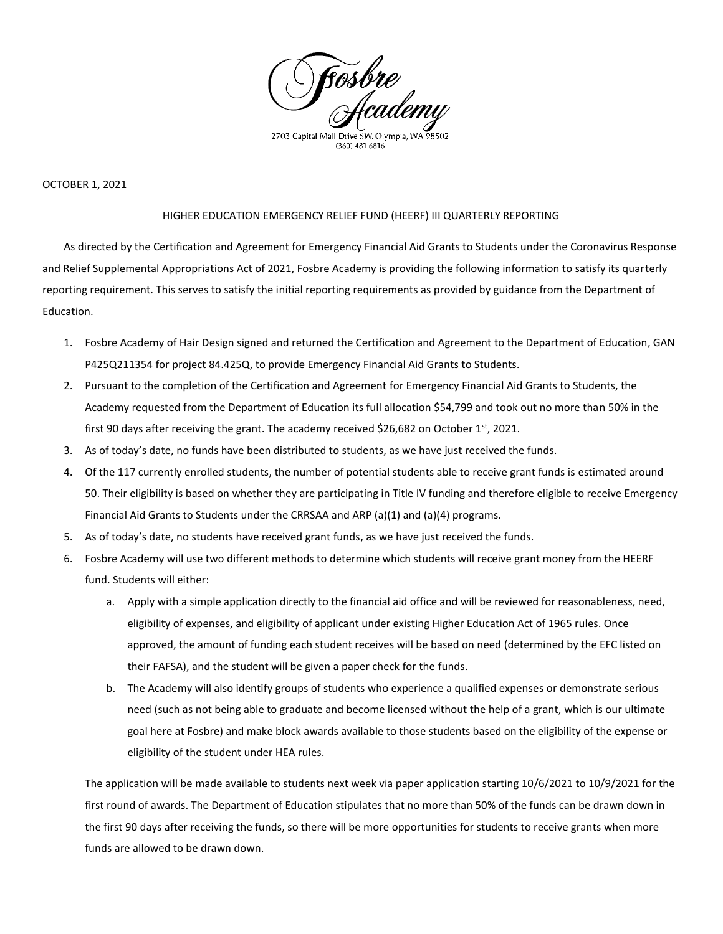

#### OCTOBER 1, 2021

#### HIGHER EDUCATION EMERGENCY RELIEF FUND (HEERF) III QUARTERLY REPORTING

As directed by the Certification and Agreement for Emergency Financial Aid Grants to Students under the Coronavirus Response and Relief Supplemental Appropriations Act of 2021, Fosbre Academy is providing the following information to satisfy its quarterly reporting requirement. This serves to satisfy the initial reporting requirements as provided by guidance from the Department of Education.

- 1. Fosbre Academy of Hair Design signed and returned the Certification and Agreement to the Department of Education, GAN P425Q211354 for project 84.425Q, to provide Emergency Financial Aid Grants to Students.
- 2. Pursuant to the completion of the Certification and Agreement for Emergency Financial Aid Grants to Students, the Academy requested from the Department of Education its full allocation \$54,799 and took out no more than 50% in the first 90 days after receiving the grant. The academy received \$26,682 on October 1st, 2021.
- 3. As of today's date, no funds have been distributed to students, as we have just received the funds.
- 4. Of the 117 currently enrolled students, the number of potential students able to receive grant funds is estimated around 50. Their eligibility is based on whether they are participating in Title IV funding and therefore eligible to receive Emergency Financial Aid Grants to Students under the CRRSAA and ARP (a)(1) and (a)(4) programs.
- 5. As of today's date, no students have received grant funds, as we have just received the funds.
- 6. Fosbre Academy will use two different methods to determine which students will receive grant money from the HEERF fund. Students will either:
	- a. Apply with a simple application directly to the financial aid office and will be reviewed for reasonableness, need, eligibility of expenses, and eligibility of applicant under existing Higher Education Act of 1965 rules. Once approved, the amount of funding each student receives will be based on need (determined by the EFC listed on their FAFSA), and the student will be given a paper check for the funds.
	- b. The Academy will also identify groups of students who experience a qualified expenses or demonstrate serious need (such as not being able to graduate and become licensed without the help of a grant, which is our ultimate goal here at Fosbre) and make block awards available to those students based on the eligibility of the expense or eligibility of the student under HEA rules.

The application will be made available to students next week via paper application starting 10/6/2021 to 10/9/2021 for the first round of awards. The Department of Education stipulates that no more than 50% of the funds can be drawn down in the first 90 days after receiving the funds, so there will be more opportunities for students to receive grants when more funds are allowed to be drawn down.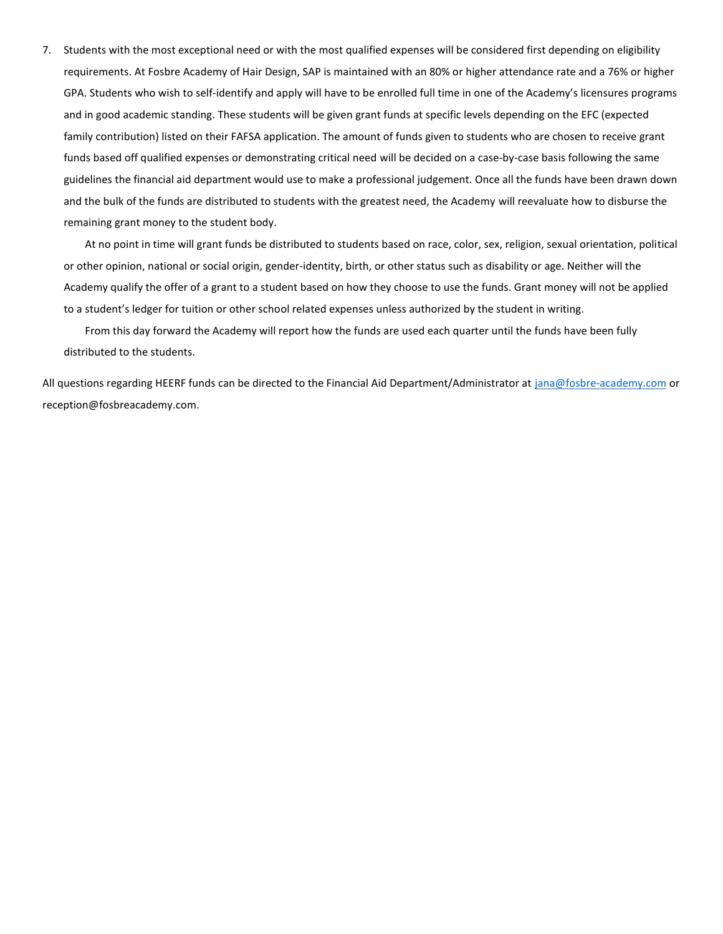7. Students with the most exceptional need or with the most qualified expenses will be considered first depending on eligibility requirements. At Fosbre Academy of Hair Design, SAP is maintained with an 80% or higher attendance rate and a 76% or higher GPA. Students who wish to self-identify and apply will have to be enrolled full time in one of the Academy's licensures programs and in good academic standing. These students will be given grant funds at specific levels depending on the EFC (expected family contribution) listed on their FAFSA application. The amount of funds given to students who are chosen to receive grant funds based off qualified expenses or demonstrating critical need will be decided on a case-by-case basis following the same guidelines the financial aid department would use to make a professional judgement. Once all the funds have been drawn down and the bulk of the funds are distributed to students with the greatest need, the Academy will reevaluate how to disburse the remaining grant money to the student body.

At no point in time will grant funds be distributed to students based on race, color, sex, religion, sexual orientation, political or other opinion, national or social origin, gender-identity, birth, or other status such as disability or age. Neither will the Academy qualify the offer of a grant to a student based on how they choose to use the funds. Grant money will not be applied to a student's ledger for tuition or other school related expenses unless authorized by the student in writing.

From this day forward the Academy will report how the funds are used each quarter until the funds have been fully distributed to the students.

All questions regarding HEERF funds can be directed to the Financial Aid Department/Administrator at [jana@fosbre-academy.com](mailto:jana@fosbre-academy.com) or reception@fosbreacademy.com.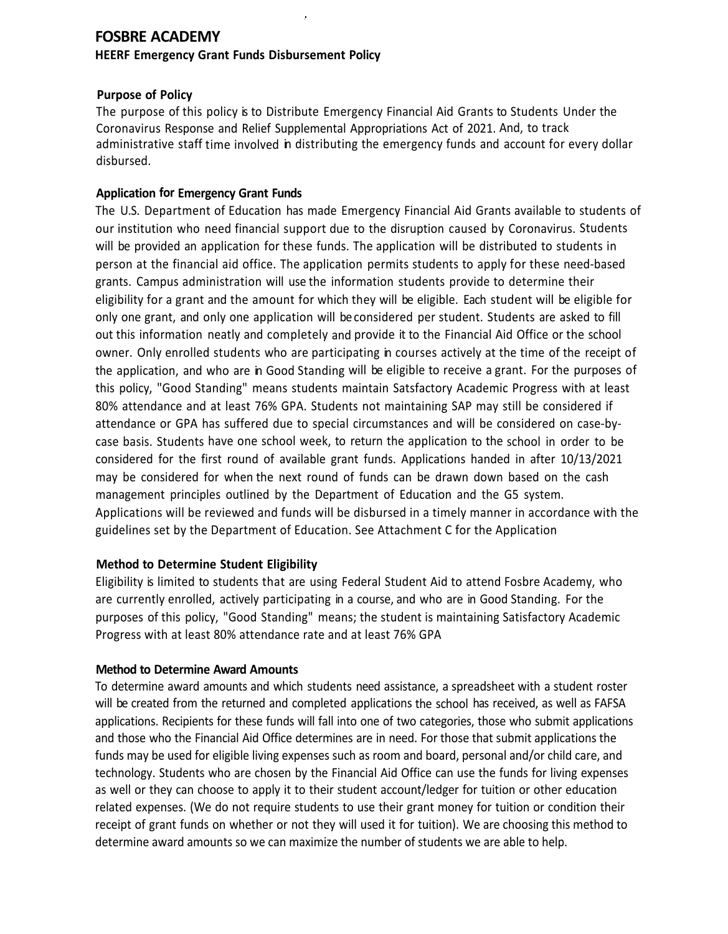# **FOSBRE ACADEMY**

### **HEERF Emergency Grant Funds Disbursement Policy**

## **Purpose of Policy**

The purpose of this policy is to Distribute Emergency Financial Aid Grants to Students Under the Coronavirus Response and Relief Supplemental Appropriations Act of 2021. And, to track administrative staff time involved in distributing the emergency funds and account for every dollar disbursed.

## **Application for Emergency Grant Funds**

The U.S. Department of Education has made Emergency Financial Aid Grants available to students of our institution who need financial support due to the disruption caused by Coronavirus. Students will be provided an application for these funds. The application will be distributed to students in person at the financial aid office. The application permits students to apply for these need-based grants. Campus administration will use the information students provide to determine their eligibility for a grant and the amount for which they will be eligible. Each student will be eligible for only one grant, and only one application will beconsidered per student. Students are asked to fill out this information neatly and completely and provide it to the Financial Aid Office or the school owner. Only enrolled students who are participating in courses actively at the time of the receipt of the application, and who are in Good Standing will be eligible to receive a grant. For the purposes of this policy, "Good Standing" means students maintain Satsfactory Academic Progress with at least 80% attendance and at least 76% GPA. Students not maintaining SAP may still be considered if attendance or GPA has suffered due to special circumstances and will be considered on case-bycase basis. Students have one school week, to return the application to the school in order to be considered for the first round of available grant funds. Applications handed in after 10/13/2021 may be considered for when the next round of funds can be drawn down based on the cash management principles outlined by the Department of Education and the G5 system. Applications will be reviewed and funds will be disbursed in a timely manner in accordance with the guidelines set by the Department of Education. See Attachment C for the Application

## **Method to Determine Student Eligibility**

Eligibility is limited to students that are using Federal Student Aid to attend Fosbre Academy, who are currently enrolled, actively participating in a course, and who are in Good Standing. For the purposes of this policy, "Good Standing" means; the student is maintaining Satisfactory Academic Progress with at least 80% attendance rate and at least 76% GPA

## **Method to Determine Award Amounts**

To determine award amounts and which students need assistance, a spreadsheet with a student roster will be created from the returned and completed applications the school has received, as well as FAFSA applications. Recipients for these funds will fall into one of two categories, those who submit applications and those who the Financial Aid Office determines are in need. For those that submit applications the funds may be used for eligible living expenses such as room and board, personal and/or child care, and technology. Students who are chosen by the Financial Aid Office can use the funds for living expenses as well or they can choose to apply it to their student account/ledger for tuition or other education related expenses. (We do not require students to use their grant money for tuition or condition their receipt of grant funds on whether or not they will used it for tuition). We are choosing this method to determine award amounts so we can maximize the number of students we are able to help.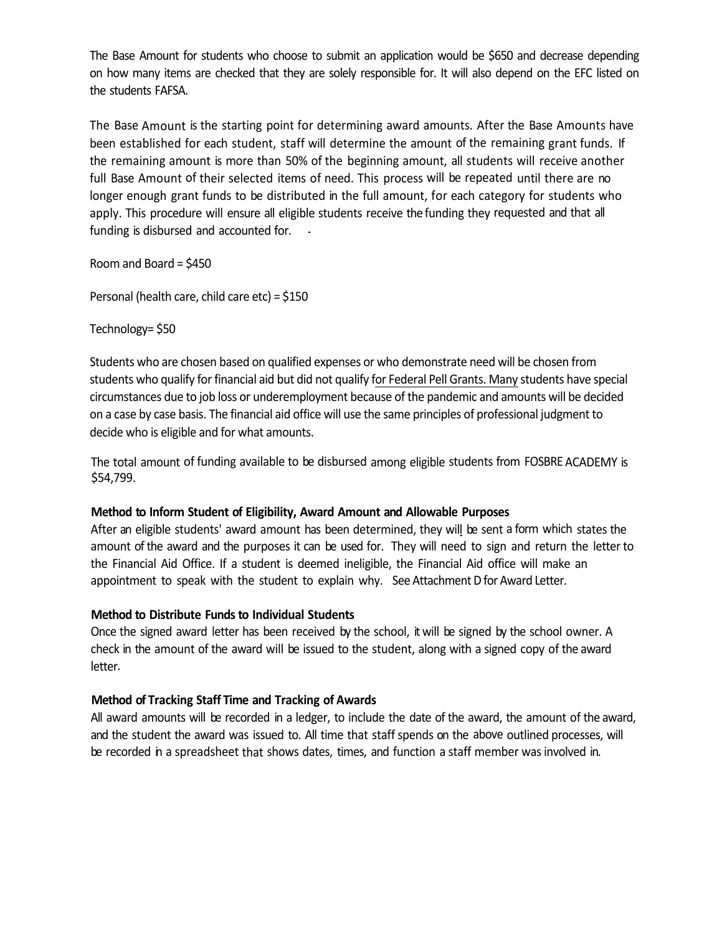The Base Amount for students who choose to submit an application would be \$650 and decrease depending on how many items are checked that they are solely responsible for. It will also depend on the EFC listed on the students FAFSA.

The Base Amount is the starting point for determining award amounts. After the Base Amounts have been established for each student, staff will determine the amount of the remaining grant funds. If the remaining amount is more than 50% of the beginning amount, all students will receive another full Base Amount of their selected items of need. This process will be repeated until there are no longer enough grant funds to be distributed in the full amount, for each category for students who apply. This procedure will ensure all eligible students receive the funding they requested and that all funding is disbursed and accounted for.

Room and Board = \$450

Personal (health care, child care etc) = \$150

### Technology= \$50

Students who are chosen based on qualified expenses or who demonstrate need will be chosen from students who qualify for financial aid but did not qualify for Federal Pell Grants. Many students have special circumstances due to job loss or underemployment because of the pandemic and amounts will be decided on a case by case basis. The financial aid office will use the same principles of professional judgment to decide who is eligible and for what amounts.

The total amount of funding available to be disbursed among eligible students from FOSBRE ACADEMY is \$54,799.

#### **Method to Inform Student of Eligibility, Award Amount and Allowable Purposes**

After an eligible students' award amount has been determined, they will be sent a form which states the amount of the award and the purposes it can be used for. They will need to sign and return the letterto the Financial Aid Office. If a student is deemed ineligible, the Financial Aid office will make an appointment to speak with the student to explain why. See Attachment D for Award Letter.

#### **Method to Distribute Funds to Individual Students**

Once the signed award letter has been received by the school, it will be signed by the school owner. A check in the amount of the award will be issued to the student, along with a signed copy of the award letter.

#### **Method of Tracking Staff Time and Tracking of Awards**

All award amounts will be recorded in a ledger, to include the date of the award, the amount of the award, and the student the award was issued to. All time that staff spends on the above outlined processes, will be recorded in a spreadsheet that shows dates, times, and function a staff member was involved in.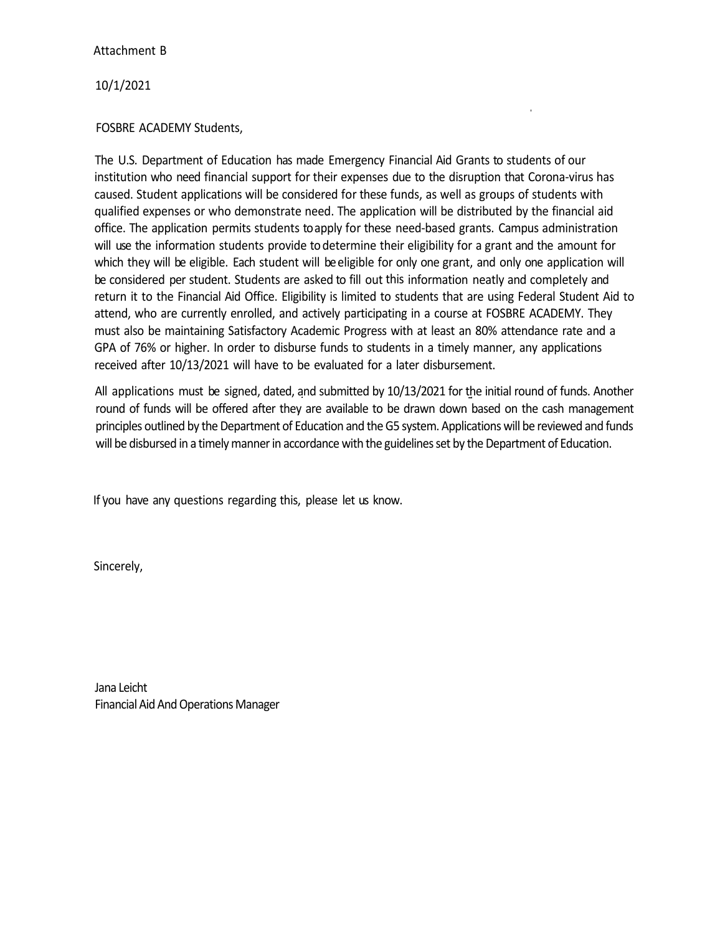### Attachment B

10/1/2021

## FOSBRE ACADEMY Students,

The U.S. Department of Education has made Emergency Financial Aid Grants to students of our institution who need financial support for their expenses due to the disruption that Corona-virus has caused. Student applications will be considered for these funds, as well as groups of students with qualified expenses or who demonstrate need. The application will be distributed by the financial aid office. The application permits students toapply for these need-based grants. Campus administration will use the information students provide to determine their eligibility for a grant and the amount for which they will be eligible. Each student will be eligible for only one grant, and only one application will be considered per student. Students are asked to fill out this information neatly and completely and return it to the Financial Aid Office. Eligibility is limited to students that are using Federal Student Aid to attend, who are currently enrolled, and actively participating in a course at FOSBRE ACADEMY. They must also be maintaining Satisfactory Academic Progress with at least an 80% attendance rate and a GPA of 76% or higher. In order to disburse funds to students in a timely manner, any applications received after 10/13/2021 will have to be evaluated for a later disbursement.

All applications must be signed, dated, and submitted by 10/13/2021 for the initial round of funds. Another round of funds will be offered after they are available to be drawn down based on the cash management principles outlined by the Department of Education and the G5 system. Applications will be reviewed and funds will be disbursed in a timely manner in accordance with the guidelines set by the Department of Education.

If you have any questions regarding this, please let us know.

Sincerely,

Jana Leicht Financial Aid And Operations Manager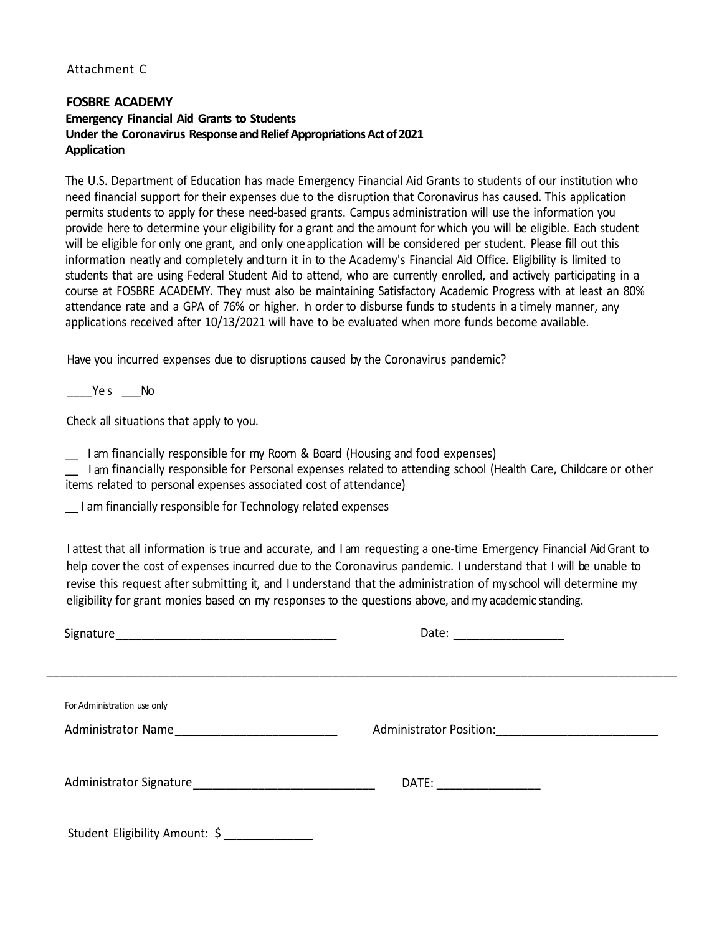## Attachment C

### **FOSBRE ACADEMY Emergency Financial Aid Grants to Students Under the Coronavirus Response and Relief Appropriations Act of 2021 Application**

The U.S. Department of Education has made Emergency Financial Aid Grants to students of our institution who need financial support for their expenses due to the disruption that Coronavirus has caused. This application permits students to apply for these need-based grants. Campus administration will use the information you provide here to determine your eligibility for a grant and the amount for which you will be eligible. Each student will be eligible for only one grant, and only one application will be considered per student. Please fill out this information neatly and completely andturn it in to the Academy's Financial Aid Office. Eligibility is limited to students that are using Federal Student Aid to attend, who are currently enrolled, and actively participating in a course at FOSBRE ACADEMY. They must also be maintaining Satisfactory Academic Progress with at least an 80% attendance rate and a GPA of 76% or higher. In order to disburse funds to students in a timely manner, any applications received after 10/13/2021 will have to be evaluated when more funds become available.

Have you incurred expenses due to disruptions caused by the Coronavirus pandemic?

Ye s No

Check all situations that apply to you.

\_\_ I am financially responsible for my Room & Board (Housing and food expenses)

I am financially responsible for Personal expenses related to attending school (Health Care, Childcare or other items related to personal expenses associated cost of attendance)

\_\_ I am financially responsible for Technology related expenses

I attest that all information is true and accurate, and I am requesting a one-time Emergency Financial AidGrant to help cover the cost of expenses incurred due to the Coronavirus pandemic. I understand that I will be unable to revise this request after submitting it, and I understand that the administration of myschool will determine my eligibility for grant monies based on my responses to the questions above, and my academic standing.

|                                | Date: ________________                           |
|--------------------------------|--------------------------------------------------|
|                                |                                                  |
|                                |                                                  |
| For Administration use only    |                                                  |
| Administrator Name             | Administrator Position: 2008 2010 2021 2022 2023 |
|                                |                                                  |
|                                | DATE: __________________                         |
|                                |                                                  |
| Student Eligibility Amount: \$ |                                                  |